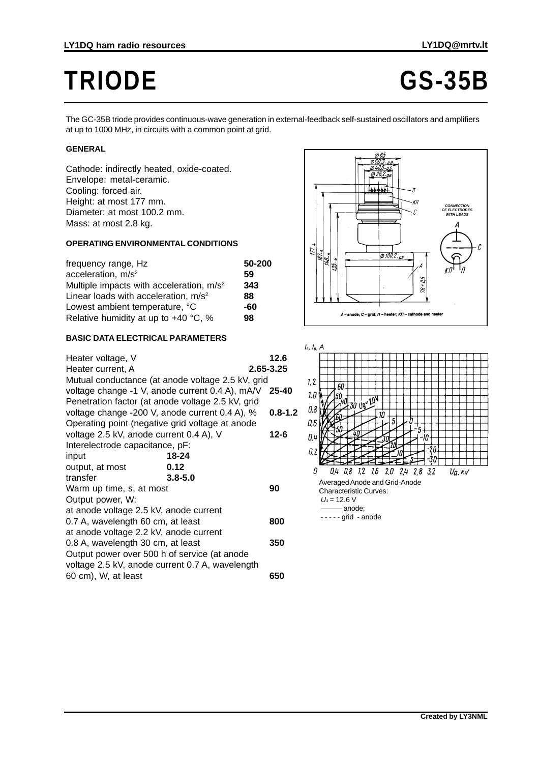# **TRIODE GS-35B**

The GC-35B triode provides continuous-wave generation in external-feedback self-sustained oscillators and amplifiers at up to 1000 MHz, in circuits with a common point at grid.

### **GENERAL**

Cathode: indirectly heated, oxide-coated. Envelope: metal-ceramic. Cooling: forced air. Height: at most 177 mm. Diameter: at most 100.2 mm. Mass: at most 2.8 kg.

#### **OPERATING ENVIRONMENTAL CONDITIONS**

| frequency range, Hz                                  | 50-200 |
|------------------------------------------------------|--------|
| acceleration, m/s <sup>2</sup>                       | 59     |
| Multiple impacts with acceleration, m/s <sup>2</sup> | 343    |
| Linear loads with acceleration, m/s <sup>2</sup>     | 88     |
| Lowest ambient temperature, °C                       | -60    |
| Relative humidity at up to $+40$ °C, %               | 98     |

#### **BASIC DATA ELECTRICAL PARAMETERS**

| Heater voltage, V                                 |                                                       | 12.6        |
|---------------------------------------------------|-------------------------------------------------------|-------------|
| Heater current, A                                 |                                                       | 2.65-3.25   |
|                                                   | Mutual conductance (at anode voltage 2.5 kV, grid     |             |
|                                                   | voltage change -1 V, anode current 0.4 A), mA/V 25-40 |             |
| Penetration factor (at anode voltage 2.5 kV, grid |                                                       |             |
| voltage change -200 V, anode current 0.4 A), %    |                                                       | $0.8 - 1.2$ |
| Operating point (negative grid voltage at anode   |                                                       |             |
| voltage 2.5 kV, anode current 0.4 A), V           |                                                       | $12 - 6$    |
| Interelectrode capacitance, pF:                   |                                                       |             |
| input                                             | 18-24                                                 |             |
| output, at most                                   | 0.12                                                  |             |
| transfer                                          | $3.8 - 5.0$                                           |             |
| Warm up time, s, at most                          |                                                       | 90          |
| Output power, W:                                  |                                                       |             |
| at anode voltage 2.5 kV, anode current            |                                                       |             |
| 0.7 A, wavelength 60 cm, at least                 |                                                       | 800         |
| at anode voltage 2.2 kV, anode current            |                                                       |             |
| 0.8 A, wavelength 30 cm, at least                 |                                                       | 350         |
| Output power over 500 h of service (at anode      |                                                       |             |
| voltage 2.5 kV, anode current 0.7 A, wavelength   |                                                       |             |
| 60 cm), W, at least                               |                                                       | 650         |
|                                                   |                                                       |             |